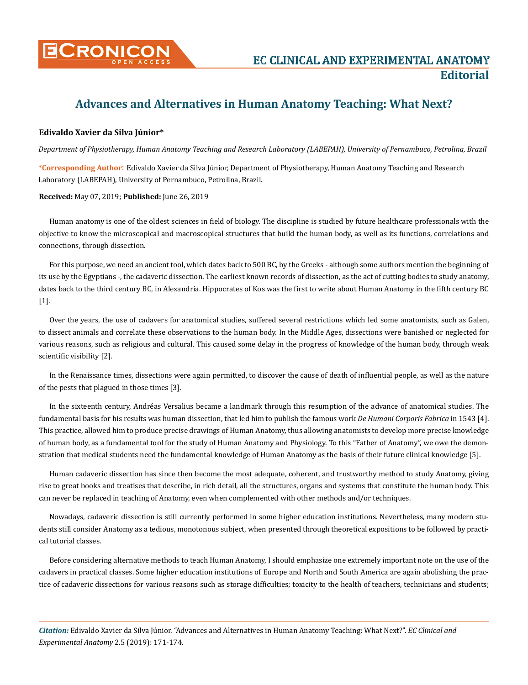

## **Advances and Alternatives in Human Anatomy Teaching: What Next?**

## **Edivaldo Xavier da Silva Júnior\***

*Department of Physiotherapy, Human Anatomy Teaching and Research Laboratory (LABEPAH), University of Pernambuco, Petrolina, Brazil*

**\*Corresponding Author**: Edivaldo Xavier da Silva Júnior, Department of Physiotherapy, Human Anatomy Teaching and Research Laboratory (LABEPAH), University of Pernambuco, Petrolina, Brazil.

**Received:** May 07, 2019; **Published:** June 26, 2019

Human anatomy is one of the oldest sciences in field of biology. The discipline is studied by future healthcare professionals with the objective to know the microscopical and macroscopical structures that build the human body, as well as its functions, correlations and connections, through dissection.

For this purpose, we need an ancient tool, which dates back to 500 BC, by the Greeks - although some authors mention the beginning of its use by the Egyptians -, the cadaveric dissection. The earliest known records of dissection, as the act of cutting bodies to study anatomy, dates back to the third century BC, in Alexandria. Hippocrates of Kos was the first to write about Human Anatomy in the fifth century BC [1].

Over the years, the use of cadavers for anatomical studies, suffered several restrictions which led some anatomists, such as Galen, to dissect animals and correlate these observations to the human body. In the Middle Ages, dissections were banished or neglected for various reasons, such as religious and cultural. This caused some delay in the progress of knowledge of the human body, through weak scientific visibility [2].

In the Renaissance times, dissections were again permitted, to discover the cause of death of influential people, as well as the nature of the pests that plagued in those times [3].

In the sixteenth century, Andréas Versalius became a landmark through this resumption of the advance of anatomical studies. The fundamental basis for his results was human dissection, that led him to publish the famous work *De Humani Corporis Fabrica* in 1543 [4]. This practice, allowed him to produce precise drawings of Human Anatomy, thus allowing anatomists to develop more precise knowledge of human body, as a fundamental tool for the study of Human Anatomy and Physiology. To this "Father of Anatomy", we owe the demonstration that medical students need the fundamental knowledge of Human Anatomy as the basis of their future clinical knowledge [5].

Human cadaveric dissection has since then become the most adequate, coherent, and trustworthy method to study Anatomy, giving rise to great books and treatises that describe, in rich detail, all the structures, organs and systems that constitute the human body. This can never be replaced in teaching of Anatomy, even when complemented with other methods and/or techniques.

Nowadays, cadaveric dissection is still currently performed in some higher education institutions. Nevertheless, many modern students still consider Anatomy as a tedious, monotonous subject, when presented through theoretical expositions to be followed by practical tutorial classes.

Before considering alternative methods to teach Human Anatomy, I should emphasize one extremely important note on the use of the cadavers in practical classes. Some higher education institutions of Europe and North and South America are again abolishing the practice of cadaveric dissections for various reasons such as storage difficulties; toxicity to the health of teachers, technicians and students;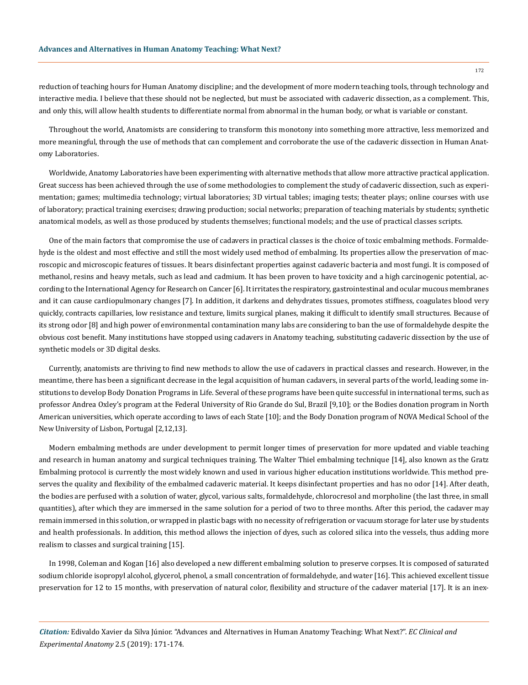reduction of teaching hours for Human Anatomy discipline; and the development of more modern teaching tools, through technology and interactive media. I believe that these should not be neglected, but must be associated with cadaveric dissection, as a complement. This, and only this, will allow health students to differentiate normal from abnormal in the human body, or what is variable or constant.

Throughout the world, Anatomists are considering to transform this monotony into something more attractive, less memorized and more meaningful, through the use of methods that can complement and corroborate the use of the cadaveric dissection in Human Anatomy Laboratories.

Worldwide, Anatomy Laboratories have been experimenting with alternative methods that allow more attractive practical application. Great success has been achieved through the use of some methodologies to complement the study of cadaveric dissection, such as experimentation; games; multimedia technology; virtual laboratories; 3D virtual tables; imaging tests; theater plays; online courses with use of laboratory; practical training exercises; drawing production; social networks; preparation of teaching materials by students; synthetic anatomical models, as well as those produced by students themselves; functional models; and the use of practical classes scripts.

One of the main factors that compromise the use of cadavers in practical classes is the choice of toxic embalming methods. Formaldehyde is the oldest and most effective and still the most widely used method of embalming. Its properties allow the preservation of macroscopic and microscopic features of tissues. It bears disinfectant properties against cadaveric bacteria and most fungi. It is composed of methanol, resins and heavy metals, such as lead and cadmium. It has been proven to have toxicity and a high carcinogenic potential, according to the International Agency for Research on Cancer [6]. It irritates the respiratory, gastrointestinal and ocular mucous membranes and it can cause cardiopulmonary changes [7]. In addition, it darkens and dehydrates tissues, promotes stiffness, coagulates blood very quickly, contracts capillaries, low resistance and texture, limits surgical planes, making it difficult to identify small structures. Because of its strong odor [8] and high power of environmental contamination many labs are considering to ban the use of formaldehyde despite the obvious cost benefit. Many institutions have stopped using cadavers in Anatomy teaching, substituting cadaveric dissection by the use of synthetic models or 3D digital desks.

Currently, anatomists are thriving to find new methods to allow the use of cadavers in practical classes and research. However, in the meantime, there has been a significant decrease in the legal acquisition of human cadavers, in several parts of the world, leading some institutions to develop Body Donation Programs in Life. Several of these programs have been quite successful in international terms, such as professor Andrea Oxley's program at the Federal University of Rio Grande do Sul, Brazil [9,10]; or the Bodies donation program in North American universities, which operate according to laws of each State [10]; and the Body Donation program of NOVA Medical School of the New University of Lisbon, Portugal [2,12,13].

Modern embalming methods are under development to permit longer times of preservation for more updated and viable teaching and research in human anatomy and surgical techniques training. The Walter Thiel embalming technique [14], also known as the Gratz Embalming protocol is currently the most widely known and used in various higher education institutions worldwide. This method preserves the quality and flexibility of the embalmed cadaveric material. It keeps disinfectant properties and has no odor [14]. After death, the bodies are perfused with a solution of water, glycol, various salts, formaldehyde, chlorocresol and morpholine (the last three, in small quantities), after which they are immersed in the same solution for a period of two to three months. After this period, the cadaver may remain immersed in this solution, or wrapped in plastic bags with no necessity of refrigeration or vacuum storage for later use by students and health professionals. In addition, this method allows the injection of dyes, such as colored silica into the vessels, thus adding more realism to classes and surgical training [15].

In 1998, Coleman and Kogan [16] also developed a new different embalming solution to preserve corpses. It is composed of saturated sodium chloride isopropyl alcohol, glycerol, phenol, a small concentration of formaldehyde, and water [16]. This achieved excellent tissue preservation for 12 to 15 months, with preservation of natural color, flexibility and structure of the cadaver material [17]. It is an inex-

*Citation:* Edivaldo Xavier da Silva Júnior. "Advances and Alternatives in Human Anatomy Teaching: What Next?". *EC Clinical and Experimental Anatomy* 2.5 (2019): 171-174.

172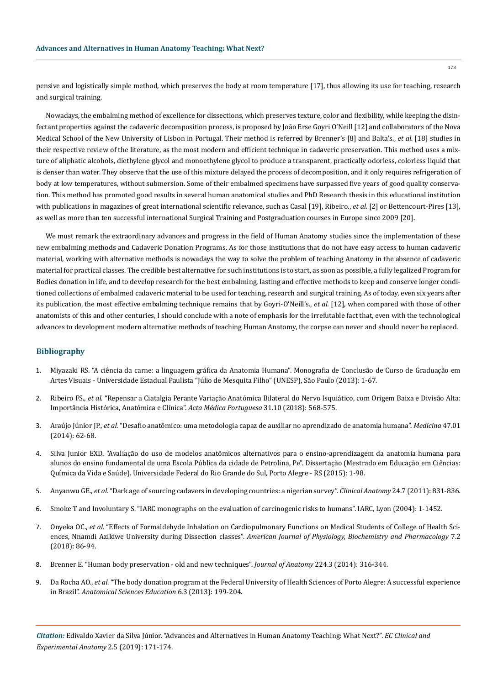pensive and logistically simple method, which preserves the body at room temperature [17], thus allowing its use for teaching, research and surgical training.

Nowadays, the embalming method of excellence for dissections, which preserves texture, color and flexibility, while keeping the disinfectant properties against the cadaveric decomposition process, is proposed by João Erse Goyri O'Neill [12] and collaborators of the Nova Medical School of the New University of Lisbon in Portugal. Their method is referred by Brenner's [8] and Balta's., *et al.* [18] studies in their respective review of the literature, as the most modern and efficient technique in cadaveric preservation. This method uses a mixture of aliphatic alcohols, diethylene glycol and monoethylene glycol to produce a transparent, practically odorless, colorless liquid that is denser than water. They observe that the use of this mixture delayed the process of decomposition, and it only requires refrigeration of body at low temperatures, without submersion. Some of their embalmed specimens have surpassed five years of good quality conservation. This method has promoted good results in several human anatomical studies and PhD Research thesis in this educational institution with publications in magazines of great international scientific relevance, such as Casal [19], Ribeiro., *et al.* [2] or Bettencourt-Pires [13], as well as more than ten successful international Surgical Training and Postgraduation courses in Europe since 2009 [20].

We must remark the extraordinary advances and progress in the field of Human Anatomy studies since the implementation of these new embalming methods and Cadaveric Donation Programs. As for those institutions that do not have easy access to human cadaveric material, working with alternative methods is nowadays the way to solve the problem of teaching Anatomy in the absence of cadaveric material for practical classes. The credible best alternative for such institutions is to start, as soon as possible, a fully legalized Program for Bodies donation in life, and to develop research for the best embalming, lasting and effective methods to keep and conserve longer conditioned collections of embalmed cadaveric material to be used for teaching, research and surgical training. As of today, even six years after its publication, the most effective embalming technique remains that by Goyri-O'Neill's., *et al.* [12], when compared with those of other anatomists of this and other centuries, I should conclude with a note of emphasis for the irrefutable fact that, even with the technological advances to development modern alternative methods of teaching Human Anatomy, the corpse can never and should never be replaced.

## **Bibliography**

- 1. [Miyazaki RS. "A ciência da carne: a linguagem gráfica da Anatomia Humana". Monografia de Conclusão de Curso de Graduação em](https://repositorio.unesp.br/handle/11449/120006) [Artes Visuais - Universidade Estadual Paulista "Júlio de Mesquita Filho" \(UNESP\), São Paulo \(2013\): 1-67.](https://repositorio.unesp.br/handle/11449/120006)
- 2. Ribeiro FS., *et al*[. "Repensar a Ciatalgia Perante Variação Anatómica Bilateral do Nervo Isquiático, com Origem Baixa e Divisão Alta:](https://pdfs.semanticscholar.org/cabd/56db61d76006b20a9d540acc193706c963eb.pdf) [Importância Histórica, Anatómica e Clínica".](https://pdfs.semanticscholar.org/cabd/56db61d76006b20a9d540acc193706c963eb.pdf) *Acta Médica Portuguesa* 31.10 (2018): 568-575.
- 3. Araújo Júnior JP., *et al*[. "Desafio anatômico: uma metodologia capaz de auxiliar no aprendizado de anatomia humana".](http://www.revistas.usp.br/rmrp/article/view/80100/83980) *Medicina* 47.01 [\(2014\): 62-68.](http://www.revistas.usp.br/rmrp/article/view/80100/83980)
- 4. [Silva Junior EXD. "Avaliação do uso de modelos anatômicos alternativos para o ensino-aprendizagem da anatomia humana para](https://lume.ufrgs.br/handle/10183/132326) [alunos do ensino fundamental de uma Escola Pública da cidade de Petrolina, Pe". Dissertação \(Mestrado em Educação em Ciências:](https://lume.ufrgs.br/handle/10183/132326) [Química da Vida e Saúde\). Universidade Federal do Rio Grande do Sul, Porto Alegre - RS \(2015\): 1-98.](https://lume.ufrgs.br/handle/10183/132326)
- 5. Anyanwu GE., *et al*[. "Dark age of sourcing cadavers in developing countries: a nigerian survey".](https://www.ncbi.nlm.nih.gov/pubmed/21815217) *Clinical Anatomy* 24.7 (2011): 831-836.
- 6. Smoke T and Involuntary S. "IARC monographs on the evaluation of carcinogenic risks to humans". IARC, Lyon (2004): 1-1452.
- 7. Onyeka OC., *et al*[. "Effects of Formaldehyde Inhalation on Cardiopulmonary Functions on Medical Students of College of Health Sci](https://www.ejmanager.com/mnstemps/61/61-1523041329.pdf?t=1561019616)ences, Nnamdi Azikiwe University during Dissection classes". *[American Journal of Physiology, Biochemistry and Pharmacology](https://www.ejmanager.com/mnstemps/61/61-1523041329.pdf?t=1561019616)* 7.2 [\(2018\): 86-94.](https://www.ejmanager.com/mnstemps/61/61-1523041329.pdf?t=1561019616)
- 8. [Brenner E. "Human body preservation old and new techniques".](https://www.ncbi.nlm.nih.gov/pmc/articles/PMC3931544/) *Journal of Anatomy* 224.3 (2014): 316-344.
- 9. Da Rocha AO., *et al*[. "The body donation program at the Federal University of Health Sciences of Porto Alegre: A successful experience](https://www.ncbi.nlm.nih.gov/pubmed/23184541) in Brazil". *[Anatomical Sciences Education](https://www.ncbi.nlm.nih.gov/pubmed/23184541)* 6.3 (2013): 199-204.